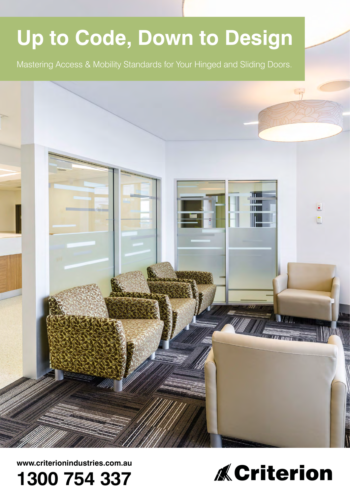# **Up to Code, Down to Design** Mastering Access & Mobility Standards for Your Hinged and Sliding Doors.**TWW**



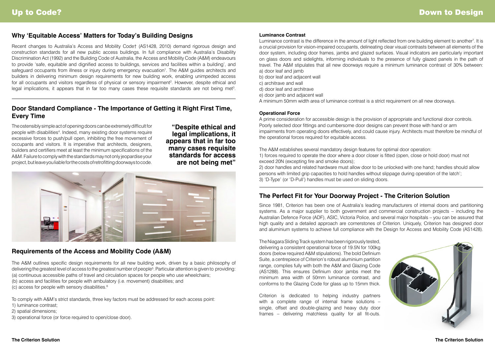The A&M outlines specific design requirements for all new building work, driven by a basic philosophy of delivering the greatest level of access to the greatest number of people<sup>5</sup>. Particular attention is given to providing: (a) continuous accessible paths of travel and circulation spaces for people who use wheelchairs; (b) access and facilities for people with ambulatory (i.e. movement) disabilities; and

Recent changes to Australia's Access and Mobility Code† (AS1428, 2010) demand rigorous design and construction standards for all new public access buildings. In full compliance with Australia's Disability Discrimination Act (1992) and the Building Code of Australia, the Access and Mobility Code (A&M) endeavours to provide 'safe, equitable and dignified access to buildings, services and facilities within a building', and safeguard occupants from illness or injury during emergency evacuation<sup>1</sup>. The A&M guides architects and builders in delivering minimum design requirements for new building work, enabling unimpeded access for all occupants and visitors regardless of physical or sensory impairment<sup>2</sup>. However, despite ethical and legal implications, it appears that in far too many cases these requisite standards are not being met<sup>3</sup>.

(c) access for people with sensory disabilities.6

To comply with A&M's strict standards, three key factors must be addressed for each access point:

- 1) luminance contrast;
- 2) spatial dimensions;
- 3) operational force (or force required to open/close door).

**"Despite ethical and legal implications, it appears that in far too many cases requisite standards for access are not being met"**



# **Why 'Equitable Access' Matters for Today's Building Designs**

Luminance contrast is the difference in the amount of light reflected from one building element to another<sup>7</sup>. It is a crucial provision for vision-impaired occupants, delineating clear visual contrasts between all elements of the door system, including door frames, jambs and glazed surfaces. Visual indicators are particularly important on glass doors and sidelights, informing individuals to the presence of fully glazed panels in the path of travel. The A&M stipulates that all new doorways require a minimum luminance contrast of 30% between: a) door leaf and jamb

# **Door Standard Compliance - The Importance of Getting it Right First Time, Every Time**

## **Requirements of the Access and Mobility Code (A&M)**

The ostensibly simple act of opening doors can be extremely difficult for people with disabilities<sup>4</sup>. Indeed, many existing door systems require excessive forces to push/pull open, inhibiting the free movement of occupants and visitors. It is imperative that architects, designers, builders and certifiers meet at least the minimum specifications of the A&M. Failure to comply with the standards may not only jeopardise your project, but leave you liable for the costs of retrofitting doorways to code.



#### **Luminance Contrast**

- b) door leaf and adjacent wall
- c) architrave and wall
- d) door leaf and architrave
- e) door jamb and adjacent wall
- A minimum 50mm width area of luminance contrast is a strict requirement on all new doorways.

### **Operational Force**

A prime consideration for accessible design is the provision of appropriate and functional door controls. Poorly selected door fittings and cumbersome door designs can prevent those with hand or arm impairments from operating doors effectively, and could cause injury. Architects must therefore be mindful of the operational forces required for equitable access.

The A&M establishes several mandatory design features for optimal door operation: 1) forces required to operate the door where a door closer is fitted (open, close or hold door) must not exceed 20N (excepting fire and smoke doors);

2) door handles and related hardware must allow door to be unlocked with one hand; handles should allow persons with limited grip capacities to hold handles without slippage during operation of the latch'; 3) 'D-Type' (or 'D-Pull') handles must be used on sliding doors.

Since 1981, Criterion has been one of Australia's leading manufacturers of internal doors and partitioning systems. As a major supplier to both government and commercial construction projects – including the Australian Defence Force (ADF), ASIC, Victoria Police, and several major hospitals – you can be assured that high quality and a detailed approach are cornerstones of Criterion. Uniquely, Criterion has designed door and aluminium systems to achieve full compliance with the Design for Access and Mobility Code (AS1428).

The Niagara Sliding Track system has been rigorously tested, delivering a consistent operational force of 19.5N for 100kg doors (below required A&M stipulations). The bold Definium Suite, a centrepiece of Criterion's robust aluminium partition range, complies fully with both the A&M and Glazing Code (AS1288). This ensures Definium door jambs meet the minimum area width of 50mm luminance contrast, and conforms to the Glazing Code for glass up to 15mm thick. Criterion is dedicated to helping industry partners with a complete range of internal frame solutions –

single, offset and double-glazing and heavy duty door frames – delivering matchless quality for all fit-outs.

# **The Perfect Fit for Your Doorway Project - The Criterion Solution**